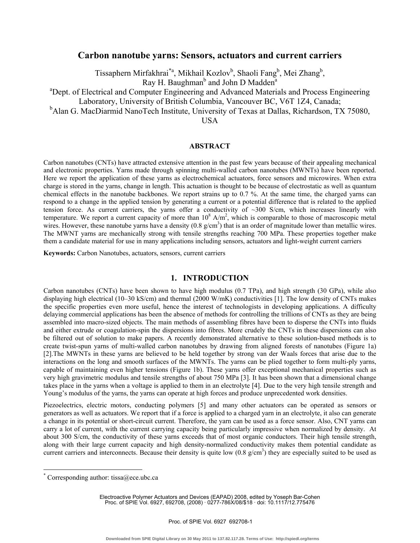# **Carbon nanotube yarns: Sensors, actuators and current carriers**

Tissaphern Mirfakhrai<sup>\*a</sup>, Mikhail Kozlov<sup>b</sup>, Shaoli Fang<sup>b</sup>, Mei Zhang<sup>b</sup>,

Ray H. Baughman<sup>b</sup> and John D Madden<sup>a</sup>

<sup>a</sup>Dept. of Electrical and Computer Engineering and Advanced Materials and Process Engineering

Laboratory, University of British Columbia, Vancouver BC, V6T 1Z4, Canada;

<sup>b</sup>Alan G. MacDiarmid NanoTech Institute, University of Texas at Dallas, Richardson, TX 75080,

USA

#### **ABSTRACT**

Carbon nanotubes (CNTs) have attracted extensive attention in the past few years because of their appealing mechanical and electronic properties. Yarns made through spinning multi-walled carbon nanotubes (MWNTs) have been reported. Here we report the application of these yarns as electrochemical actuators, force sensors and microwires. When extra charge is stored in the yarns, change in length. This actuation is thought to be because of electrostatic as well as quantum chemical effects in the nanotube backbones. We report strains up to 0.7 %. At the same time, the charged yarns can respond to a change in the applied tension by generating a current or a potential difference that is related to the applied tension force. As current carriers, the yarns offer a conductivity of  $\sim$ 300 S/cm, which increases linearly with temperature. We report a current capacity of more than  $10^8$  A/m<sup>2</sup>, which is comparable to those of macroscopic metal wires. However, these nanotube yarns have a density  $(0.8 \text{ g/cm}^3)$  that is an order of magnitude lower than metallic wires. The MWNT yarns are mechanically strong with tensile strengths reaching 700 MPa. These properties together make them a candidate material for use in many applications including sensors, actuators and light-weight current carriers

**Keywords:** Carbon Nanotubes, actuators, sensors, current carriers

## **1. INTRODUCTION**

Carbon nanotubes (CNTs) have been shown to have high modulus (0.7 TPa), and high strength (30 GPa), while also displaying high electrical (10–30 kS/cm) and thermal (2000 W/mK) conductivities [1]. The low density of CNTs makes the specific properties even more useful, hence the interest of technologists in developing applications. A difficulty delaying commercial applications has been the absence of methods for controlling the trillions of CNTs as they are being assembled into macro-sized objects. The main methods of assembling fibres have been to disperse the CNTs into fluids and either extrude or coagulation-spin the dispersions into fibres. More crudely the CNTs in these dispersions can also be filtered out of solution to make papers. A recently demonstrated alternative to these solution-based methods is to create twist-spun yarns of multi-walled carbon nanotubes by drawing from aligned forests of nanotubes (Figure 1a) [2].The MWNTs in these yarns are believed to be held together by strong van der Waals forces that arise due to the interactions on the long and smooth surfaces of the MWNTs. The yarns can be plied together to form multi-ply yarns, capable of maintaining even higher tensions (Figure 1b). These yarns offer exceptional mechanical properties such as very high gravimetric modulus and tensile strengths of about 750 MPa [3]. It has been shown that a dimensional change takes place in the yarns when a voltage is applied to them in an electrolyte [4]. Due to the very high tensile strength and Young's modulus of the yarns, the yarns can operate at high forces and produce unprecedented work densities.

Piezoelectrics, electric motors, conducting polymers [5] and many other actuators can be operated as sensors or generators as well as actuators. We report that if a force is applied to a charged yarn in an electrolyte, it also can generate a change in its potential or short-circuit current. Therefore, the yarn can be used as a force sensor. Also, CNT yarns can carry a lot of current, with the current carrying capacity being particularly impressive when normalized by density. At about 300 S/cm, the conductivity of these yarns exceeds that of most organic conductors. Their high tensile strength, along with their large current capacity and high density-normalized conductivity makes them potential candidate as current carriers and interconnects. Because their density is quite low  $(0.8 \text{ g/cm}^3)$  they are especially suited to be used as

<u>.</u>

Electroactive Polymer Actuators and Devices (EAPAD) 2008, edited by Yoseph Bar-Cohen Proc. of SPIE Vol. 6927, 692708, (2008) · 0277-786X/08/\$18 · doi: 10.1117/12.775476

<sup>\*</sup> Corresponding author: tissa@ece.ubc.ca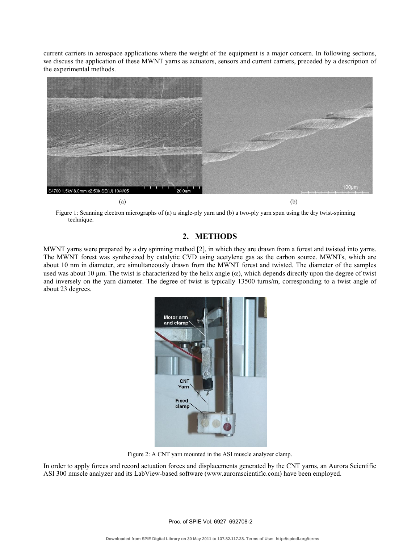current carriers in aerospace applications where the weight of the equipment is a major concern. In following sections, we discuss the application of these MWNT yarns as actuators, sensors and current carriers, preceded by a description of the experimental methods.



Figure 1: Scanning electron micrographs of (a) a single-ply yarn and (b) a two-ply yarn spun using the dry twist-spinning technique.

# **2. METHODS**

MWNT yarns were prepared by a dry spinning method [2], in which they are drawn from a forest and twisted into yarns. The MWNT forest was synthesized by catalytic CVD using acetylene gas as the carbon source. MWNTs, which are about 10 nm in diameter, are simultaneously drawn from the MWNT forest and twisted. The diameter of the samples used was about 10 µm. The twist is characterized by the helix angle  $(\alpha)$ , which depends directly upon the degree of twist and inversely on the yarn diameter. The degree of twist is typically 13500 turns/m, corresponding to a twist angle of about 23 degrees.



Figure 2: A CNT yarn mounted in the ASI muscle analyzer clamp.

In order to apply forces and record actuation forces and displacements generated by the CNT yarns, an Aurora Scientific ASI 300 muscle analyzer and its LabView-based software (www.aurorascientific.com) have been employed.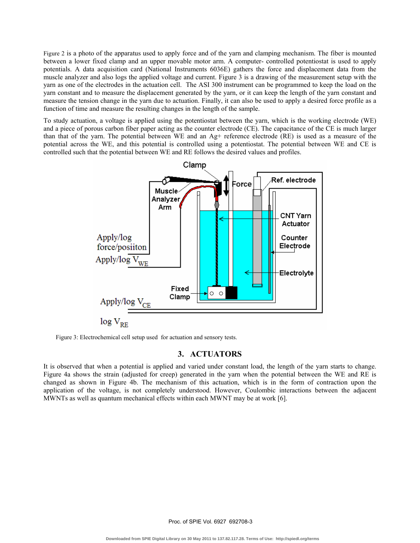Figure 2 is a photo of the apparatus used to apply force and of the yarn and clamping mechanism. The fiber is mounted between a lower fixed clamp and an upper movable motor arm. A computer- controlled potentiostat is used to apply potentials. A data acquisition card (National Instruments 6036E) gathers the force and displacement data from the muscle analyzer and also logs the applied voltage and current. Figure 3 is a drawing of the measurement setup with the yarn as one of the electrodes in the actuation cell. The ASI 300 instrument can be programmed to keep the load on the yarn constant and to measure the displacement generated by the yarn, or it can keep the length of the yarn constant and measure the tension change in the yarn due to actuation. Finally, it can also be used to apply a desired force profile as a function of time and measure the resulting changes in the length of the sample.

To study actuation, a voltage is applied using the potentiostat between the yarn, which is the working electrode (WE) and a piece of porous carbon fiber paper acting as the counter electrode (CE). The capacitance of the CE is much larger than that of the yarn. The potential between WE and an Ag+ reference electrode (RE) is used as a measure of the potential across the WE, and this potential is controlled using a potentiostat. The potential between WE and CE is controlled such that the potential between WE and RE follows the desired values and profiles.



Figure 3: Electrochemical cell setup used for actuation and sensory tests.

## **3. ACTUATORS**

It is observed that when a potential is applied and varied under constant load, the length of the yarn starts to change. Figure 4a shows the strain (adjusted for creep) generated in the yarn when the potential between the WE and RE is changed as shown in Figure 4b. The mechanism of this actuation, which is in the form of contraction upon the application of the voltage, is not completely understood. However, Coulombic interactions between the adjacent MWNTs as well as quantum mechanical effects within each MWNT may be at work [6].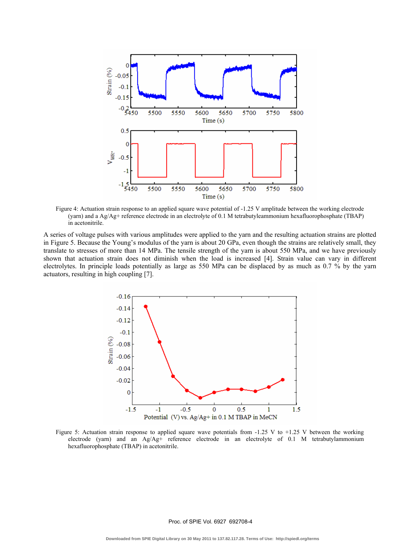

Figure 4: Actuation strain response to an applied square wave potential of -1.25 V amplitude between the working electrode (yarn) and a Ag/Ag+ reference electrode in an electrolyte of 0.1 M tetrabutyleammonium hexafluorophosphate (TBAP) in acetonitrile.

A series of voltage pulses with various amplitudes were applied to the yarn and the resulting actuation strains are plotted in Figure 5. Because the Young's modulus of the yarn is about 20 GPa, even though the strains are relatively small, they translate to stresses of more than 14 MPa. The tensile strength of the yarn is about 550 MPa, and we have previously shown that actuation strain does not diminish when the load is increased [4]. Strain value can vary in different electrolytes. In principle loads potentially as large as 550 MPa can be displaced by as much as 0.7 % by the yarn actuators, resulting in high coupling [7].



Figure 5: Actuation strain response to applied square wave potentials from -1.25 V to +1.25 V between the working electrode (yarn) and an Ag/Ag+ reference electrode in an electrolyte of 0.1 M tetrabutylammonium hexafluorophosphate (TBAP) in acetonitrile.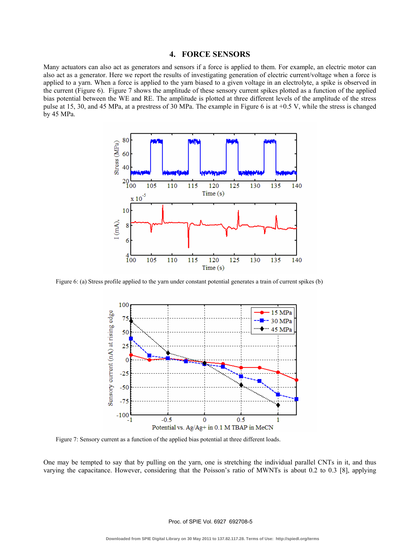#### **4. FORCE SENSORS**

Many actuators can also act as generators and sensors if a force is applied to them. For example, an electric motor can also act as a generator. Here we report the results of investigating generation of electric current/voltage when a force is applied to a yarn. When a force is applied to the yarn biased to a given voltage in an electrolyte, a spike is observed in the current (Figure 6). Figure 7 shows the amplitude of these sensory current spikes plotted as a function of the applied bias potential between the WE and RE. The amplitude is plotted at three different levels of the amplitude of the stress pulse at 15, 30, and 45 MPa, at a prestress of 30 MPa. The example in Figure 6 is at +0.5 V, while the stress is changed by 45 MPa.



Figure 6: (a) Stress profile applied to the yarn under constant potential generates a train of current spikes (b)



Figure 7: Sensory current as a function of the applied bias potential at three different loads.

One may be tempted to say that by pulling on the yarn, one is stretching the individual parallel CNTs in it, and thus varying the capacitance. However, considering that the Poisson's ratio of MWNTs is about 0.2 to 0.3 [8], applying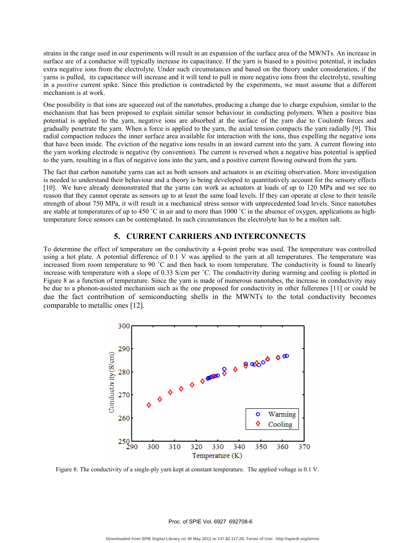strains in the range used in our experiments will result in an expansion of the surface area of the MWNTs. An increase in surface are of a conductor will typically increase its capacitance. If the yarn is biased to a positive potential, it includes extra negative ions from the electrolyte. Under such circumstances and based on the theory under consideration, if the yarns is pulled, its capacitance will increase and it will tend to pull in more negative ions from the electrolyte, resulting in a *positive* current spike. Since this prediction is contradicted by the experiments, we must assume that a different mechanism is at work.

One possibility is that ions are squeezed out of the nanotubes, producing a change due to charge expulsion, similar to the mechanism that has been proposed to explain similar sensor behaviour in conducting polymers. When a positive bias potential is applied to the yarn, negative ions are absorbed at the surface of the yarn due to Coulomb forces and gradually penetrate the yarn. When a force is applied to the yarn, the axial tension compacts the yarn radially [9]. This radial compaction reduces the inner surface area available for interaction with the ions, thus expelling the negative ions that have been inside. The eviction of the negative ions results in an inward current into the yarn. A current flowing into the yarn working electrode is negative (by convention). The current is reversed when a negative bias potential is applied to the yarn, resulting in a flux of negative ions into the yarn, and a positive current flowing outward from the yarn.

The fact that carbon nanotube yarns can act as both sensors and actuators is an exciting observation. More investigation is needed to understand their behaviour and a theory is being developed to quantitatively account for the sensory effects [10]. We have already demonstrated that the yarns can work as actuators at loads of up to 120 MPa and we see no reason that they cannot operate as sensors up to at least the same load levels. If they can operate at close to their tensile strength of about 750 MPa, it will result in a mechanical stress sensor with unprecedented load levels. Since nanotubes are stable at temperatures of up to 450 °C in air and to more than 1000 °C in the absence of oxygen, applications as hightemperature force sensors can be contemplated. In such circumstances the electrolyte has to be a molten salt.

## **5. CURRENT CARRIERS AND INTERCONNECTS**

To determine the effect of temperature on the conductivity a 4-point probe was used. The temperature was controlled using a hot plate. A potential difference of 0.1 V was applied to the yarn at all temperatures. The temperature was increased from room temperature to 90 ˚C and then back to room temperature. The conductivity is found to linearly increase with temperature with a slope of 0.33 S/cm per ˚C. The conductivity during warming and cooling is plotted in Figure 8 as a function of temperature. Since the yarn is made of numerous nanotubes, the increase in conductivity may be due to a phonon-assisted mechanism such as the one proposed for conductivity in other fullerenes [11] or could be due the fact contribution of semiconducting shells in the MWNTs to the total conductivity becomes comparable to metallic ones [12].



Figure 8: The conductivity of a single-ply yarn kept at constant temperature. The applied voltage is 0.1 V.

Proc. of SPIE Vol. 6927 692708-6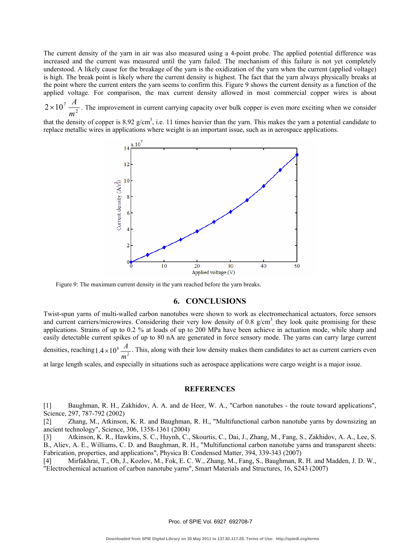The current density of the yarn in air was also measured using a 4-point probe. The applied potential difference was increased and the current was measured until the yarn failed. The mechanism of this failure is not yet completely understood. A likely cause for the breakage of the yarn is the oxidization of the yarn when the current (applied voltage) is high. The break point is likely where the current density is highest. The fact that the yarn always physically breaks at the point where the current enters the yarn seems to confirm this. Figure 9 shows the current density as a function of the applied voltage. For comparison, the max current density allowed in most commercial copper wires is about

 $2 \times 10^{7} \frac{A}{m^{2}}$ *m*  $\times 10^7 \frac{A}{\lambda}$ . The improvement in current carrying capacity over bulk copper is even more exciting when we consider

that the density of copper is  $8.92 \text{ g/cm}^3$ , i.e. 11 times heavier than the yarn. This makes the yarn a potential candidate to replace metallic wires in applications where weight is an important issue, such as in aerospace applications.



Figure 9: The maximum current density in the yarn reached before the yarn breaks.

## **6. CONCLUSIONS**

Twist-spun yarns of multi-walled carbon nanotubes were shown to work as electromechanical actuators, force sensors and current carriers/microwires. Considering their very low density of 0.8  $g/cm<sup>3</sup>$ , they look quite promising for these applications. Strains of up to 0.2 % at loads of up to 200 MPa have been achieve in actuation mode, while sharp and easily detectable current spikes of up to 80 nA are generated in force sensory mode. The yarns can carry large current densities, reaching  $1.4 \times 10^8 \frac{A}{m^2}$ *m*  $\times 10^8 \frac{A}{a}$ . This, along with their low density makes them candidates to act as current carriers even

at large length scales, and especially in situations such as aerospace applications were cargo weight is a major issue.

#### **REFERENCES**

[1] Baughman, R. H., Zakhidov, A. A. and de Heer, W. A., "Carbon nanotubes - the route toward applications", Science, 297, 787-792 (2002)

[2] Zhang, M., Atkinson, K. R. and Baughman, R. H., "Multifunctional carbon nanotube yarns by downsizing an ancient technology", Science, 306, 1358-1361 (2004)

[3] Atkinson, K. R., Hawkins, S. C., Huynh, C., Skourtis, C., Dai, J., Zhang, M., Fang, S., Zakhidov, A. A., Lee, S. B., Aliev, A. E., Williams, C. D. and Baughman, R. H., "Multifunctional carbon nanotube yarns and transparent sheets: Fabrication, properties, and applications", Physica B: Condensed Matter, 394, 339-343 (2007)

[4] Mirfakhrai, T., Oh, J., Kozlov, M., Fok, E. C. W., Zhang, M., Fang, S., Baughman, R. H. and Madden, J. D. W., "Electrochemical actuation of carbon nanotube yarns", Smart Materials and Structures, 16, S243 (2007)